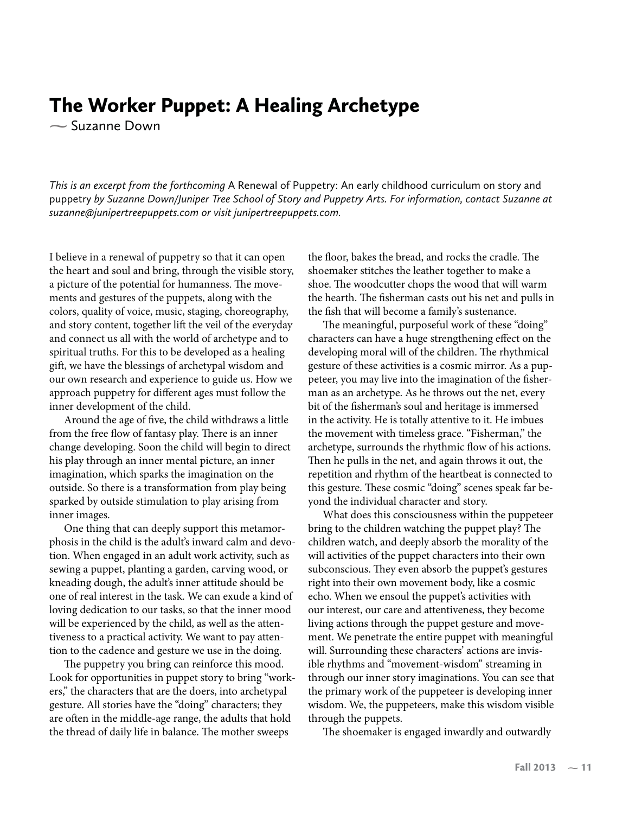## The Worker Puppet: A Healing Archetype

**-** Suzanne Down

*This is an excerpt from the forthcoming* A Renewal of Puppetry: An early childhood curriculum on story and puppetry by Suzanne Down/Juniper Tree School of Story and Puppetry Arts. For information, contact Suzanne at *suzanne@junipertreepuppets.com or visit junipertreepuppets.com.*

I believe in a renewal of puppetry so that it can open the heart and soul and bring, through the visible story, a picture of the potential for humanness. The movements and gestures of the puppets, along with the colors, quality of voice, music, staging, choreography, and story content, together lift the veil of the everyday and connect us all with the world of archetype and to spiritual truths. For this to be developed as a healing gift, we have the blessings of archetypal wisdom and our own research and experience to guide us. How we approach puppetry for different ages must follow the inner development of the child.

Around the age of five, the child withdraws a little from the free flow of fantasy play. There is an inner change developing. Soon the child will begin to direct his play through an inner mental picture, an inner imagination, which sparks the imagination on the outside. So there is a transformation from play being sparked by outside stimulation to play arising from inner images.

One thing that can deeply support this metamorphosis in the child is the adult's inward calm and devotion. When engaged in an adult work activity, such as sewing a puppet, planting a garden, carving wood, or kneading dough, the adult's inner attitude should be one of real interest in the task. We can exude a kind of loving dedication to our tasks, so that the inner mood will be experienced by the child, as well as the attentiveness to a practical activity. We want to pay attention to the cadence and gesture we use in the doing.

The puppetry you bring can reinforce this mood. Look for opportunities in puppet story to bring "workers," the characters that are the doers, into archetypal gesture. All stories have the "doing" characters; they are often in the middle-age range, the adults that hold the thread of daily life in balance. The mother sweeps

the floor, bakes the bread, and rocks the cradle. The shoemaker stitches the leather together to make a shoe. The woodcutter chops the wood that will warm the hearth. The fisherman casts out his net and pulls in the fish that will become a family's sustenance.

The meaningful, purposeful work of these "doing" characters can have a huge strengthening effect on the developing moral will of the children. The rhythmical gesture of these activities is a cosmic mirror. As a puppeteer, you may live into the imagination of the fisherman as an archetype. As he throws out the net, every bit of the fisherman's soul and heritage is immersed in the activity. He is totally attentive to it. He imbues the movement with timeless grace. "Fisherman," the archetype, surrounds the rhythmic flow of his actions. Then he pulls in the net, and again throws it out, the repetition and rhythm of the heartbeat is connected to this gesture. These cosmic "doing" scenes speak far beyond the individual character and story.

What does this consciousness within the puppeteer bring to the children watching the puppet play? The children watch, and deeply absorb the morality of the will activities of the puppet characters into their own subconscious. They even absorb the puppet's gestures right into their own movement body, like a cosmic echo. When we ensoul the puppet's activities with our interest, our care and attentiveness, they become living actions through the puppet gesture and movement. We penetrate the entire puppet with meaningful will. Surrounding these characters' actions are invisible rhythms and "movement-wisdom" streaming in through our inner story imaginations. You can see that the primary work of the puppeteer is developing inner wisdom. We, the puppeteers, make this wisdom visible through the puppets.

The shoemaker is engaged inwardly and outwardly